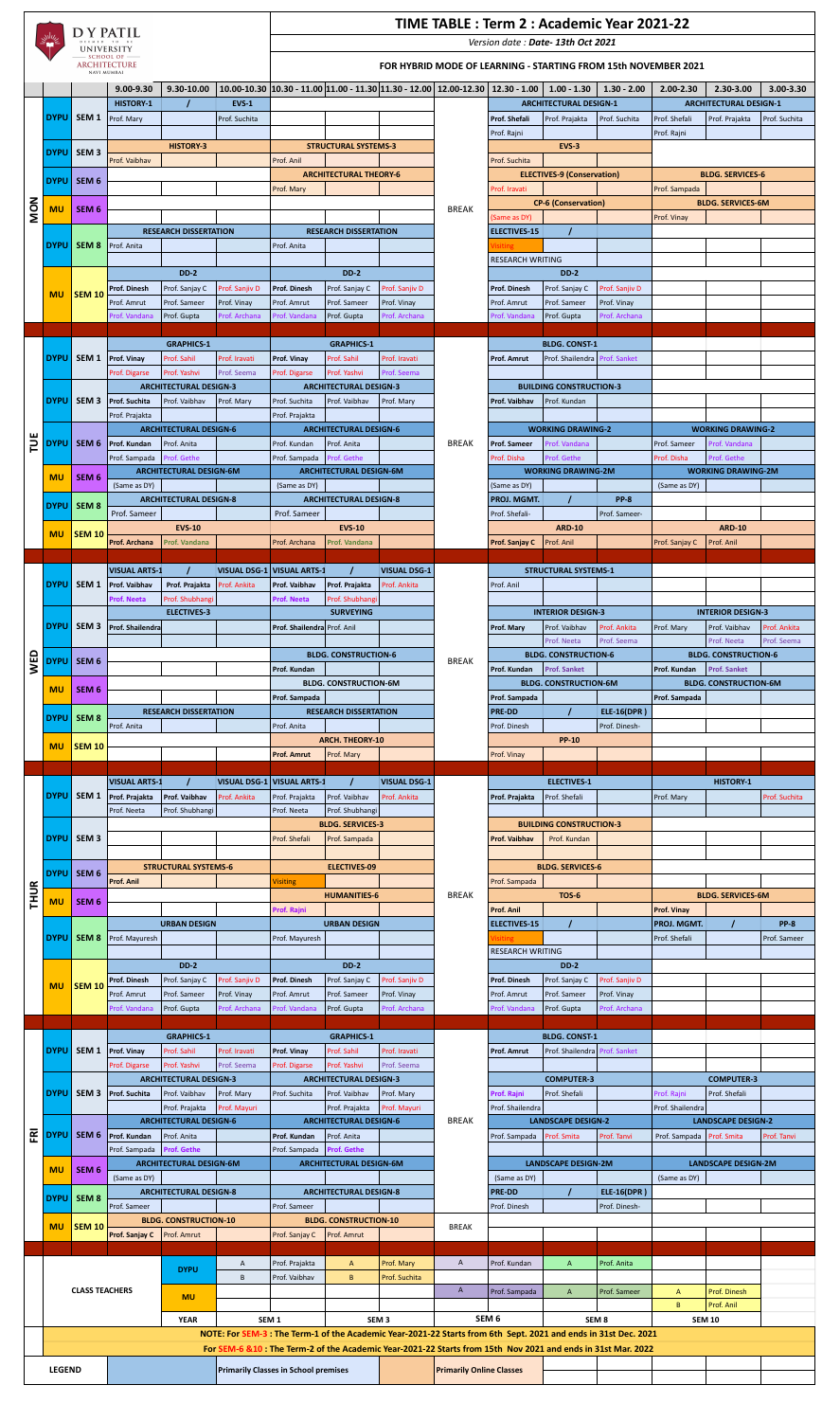

## **TIME TABLE : Term 2 : Academic Year 2021-22**

*Version date : Date- 13th Oct 2021*

## **FOR HYBRID MODE OF LEARNING - STARTING FROM 15th NOVEMBER 2021**

|                |               |                                | $9.00 - 9.30$                                     | 9.30-10.00                                    |                              |                                             |                                               |                                     |                                 | $10.00-10.30$ $ 10.30 - 11.00 11.00 - 11.30 11.30 - 12.00 12.00-12.30 12.30 - 1.00 $                                                                                                                                            | $1.00 - 1.30$                       | $1.30 - 2.00$                | $2.00 - 2.30$             | 2.30-3.00                     | $3.00 - 3.30$ |
|----------------|---------------|--------------------------------|---------------------------------------------------|-----------------------------------------------|------------------------------|---------------------------------------------|-----------------------------------------------|-------------------------------------|---------------------------------|---------------------------------------------------------------------------------------------------------------------------------------------------------------------------------------------------------------------------------|-------------------------------------|------------------------------|---------------------------|-------------------------------|---------------|
|                | <b>DYPU</b>   | DYPU SEM 1<br>SEM <sub>3</sub> | <b>HISTORY-1</b>                                  |                                               | <b>EVS-1</b>                 |                                             |                                               |                                     |                                 |                                                                                                                                                                                                                                 | <b>ARCHITECTURAL DESIGN-1</b>       |                              |                           | <b>ARCHITECTURAL DESIGN-1</b> |               |
|                |               |                                | Prof. Mary                                        |                                               | Prof. Suchita                |                                             |                                               |                                     |                                 | <b>Prof. Shefali</b>                                                                                                                                                                                                            | Prof. Prajakta                      | Prof. Suchita                | Prof. Shefali             | Prof. Prajakta                | Prof. Suchita |
|                |               |                                |                                                   |                                               |                              |                                             |                                               |                                     |                                 | Prof. Rajni                                                                                                                                                                                                                     |                                     |                              | Prof. Rajni               |                               |               |
|                |               |                                |                                                   | <b>HISTORY-3</b>                              |                              |                                             | <b>STRUCTURAL SYSTEMS-3</b>                   |                                     |                                 |                                                                                                                                                                                                                                 | <b>EVS-3</b>                        |                              |                           |                               |               |
|                |               |                                | Prof. Vaibhav                                     |                                               |                              | Prof. Anil                                  |                                               |                                     |                                 | Prof. Suchita                                                                                                                                                                                                                   |                                     |                              |                           |                               |               |
|                |               | DYPU SEM 6                     |                                                   |                                               |                              | Prof. Mary                                  | <b>ARCHITECTURAL THEORY-6</b>                 |                                     |                                 | Prof. Iravati                                                                                                                                                                                                                   | <b>ELECTIVES-9 (Conservation)</b>   |                              | Prof. Sampada             | <b>BLDG. SERVICES-6</b>       |               |
|                |               | SEM <sub>6</sub><br>DYPU SEM 8 |                                                   |                                               |                              |                                             |                                               |                                     |                                 |                                                                                                                                                                                                                                 | <b>CP-6 (Conservation)</b>          |                              |                           | <b>BLDG. SERVICES-6M</b>      |               |
| NON            | <b>MU</b>     |                                |                                                   |                                               |                              |                                             |                                               |                                     | <b>BREAK</b>                    | (Same as DY)                                                                                                                                                                                                                    |                                     |                              | Prof. Vinay               |                               |               |
|                |               |                                |                                                   | <b>RESEARCH DISSERTATION</b>                  |                              |                                             | <b>RESEARCH DISSERTATION</b>                  |                                     |                                 | <b>ELECTIVES-15</b>                                                                                                                                                                                                             |                                     |                              |                           |                               |               |
|                |               |                                | Prof. Anita                                       |                                               |                              | Prof. Anita                                 |                                               |                                     |                                 |                                                                                                                                                                                                                                 |                                     |                              |                           |                               |               |
|                |               |                                |                                                   |                                               |                              |                                             |                                               |                                     |                                 | <b>RESEARCH WRITING</b>                                                                                                                                                                                                         |                                     |                              |                           |                               |               |
|                |               |                                |                                                   | <b>DD-2</b>                                   |                              |                                             | <b>DD-2</b>                                   |                                     |                                 |                                                                                                                                                                                                                                 | <b>DD-2</b>                         |                              |                           |                               |               |
|                | <b>MU</b>     | <b>SEM 10</b>                  | <b>Prof. Dinesh</b>                               | Prof. Sanjay C                                | Prof. Sanjiv D               | <b>Prof. Dinesh</b>                         | Prof. Sanjay C                                | Prof. Sanjiv D                      |                                 | <b>Prof. Dinesh</b>                                                                                                                                                                                                             | Prof. Sanjay C                      | Prof. Sanjiv D               |                           |                               |               |
|                |               |                                | Prof. Amrut<br>Prof. Vandana                      | Prof. Sameer<br>Prof. Gupta                   | Prof. Vinay<br>Prof. Archana | Prof. Amrut<br>Prof. Vandana                | Prof. Sameer<br>Prof. Gupta                   | Prof. Vinay<br>Prof. Archana        |                                 | Prof. Amrut<br>Prof. Vandana                                                                                                                                                                                                    | Prof. Sameer<br>Prof. Gupta         | Prof. Vinay<br>Prof. Archana |                           |                               |               |
|                |               |                                |                                                   |                                               |                              |                                             |                                               |                                     |                                 |                                                                                                                                                                                                                                 |                                     |                              |                           |                               |               |
|                |               |                                |                                                   | <b>GRAPHICS-1</b>                             |                              |                                             | <b>GRAPHICS-1</b>                             |                                     |                                 |                                                                                                                                                                                                                                 | <b>BLDG. CONST-1</b>                |                              |                           |                               |               |
|                |               |                                | DYPU SEM 1 Prof. Vinay                            | Prof. Sahil                                   | Prof. Iravati                | <b>Prof. Vinay</b>                          | Prof. Sahil                                   | Prof. Iravati                       |                                 | <b>Prof. Amrut</b>                                                                                                                                                                                                              | Prof. Shailendra Prof. Sanket       |                              |                           |                               |               |
|                |               |                                | Prof. Digarse                                     | Prof. Yashvi                                  | Prof. Seema                  | Prof. Digarse                               | Prof. Yashvi                                  | Prof. Seema                         |                                 |                                                                                                                                                                                                                                 |                                     |                              |                           |                               |               |
|                |               |                                |                                                   | <b>ARCHITECTURAL DESIGN-3</b>                 |                              |                                             | <b>ARCHITECTURAL DESIGN-3</b>                 |                                     |                                 |                                                                                                                                                                                                                                 | <b>BUILDING CONSTRUCTION-3</b>      |                              |                           |                               |               |
|                |               |                                | <b>DYPU</b> SEM 3 Prof. Suchita<br>Prof. Prajakta | Prof. Vaibhav                                 | Prof. Mary                   | Prof. Suchita<br>Prof. Prajakta             | Prof. Vaibhav                                 | Prof. Mary                          |                                 | Prof. Vaibhav                                                                                                                                                                                                                   | Prof. Kundan                        |                              |                           |                               |               |
|                |               |                                |                                                   | <b>ARCHITECTURAL DESIGN-6</b>                 |                              |                                             | <b>ARCHITECTURAL DESIGN-6</b>                 |                                     |                                 |                                                                                                                                                                                                                                 | <b>WORKING DRAWING-2</b>            |                              |                           | <b>WORKING DRAWING-2</b>      |               |
| TUE            |               | DYPU SEM 6                     | Prof. Kundan                                      | Prof. Anita                                   |                              | Prof. Kundan                                | Prof. Anita                                   |                                     | <b>BREAK</b>                    | <b>Prof. Sameer</b>                                                                                                                                                                                                             | Prof. Vandana                       |                              | Prof. Sameer              | Prof. Vandana                 |               |
|                |               |                                | Prof. Sampada                                     | Prof. Gethe                                   |                              | Prof. Sampada                               | Prof. Gethe                                   |                                     |                                 | Prof. Disha                                                                                                                                                                                                                     | Prof. Gethe                         |                              | Prof. Disha               | Prof. Gethe                   |               |
|                | <b>MU</b>     | SEM <sub>6</sub>               |                                                   | <b>ARCHITECTURAL DESIGN-6M</b>                |                              |                                             | <b>ARCHITECTURAL DESIGN-6M</b>                |                                     |                                 |                                                                                                                                                                                                                                 | <b>WORKING DRAWING-2M</b>           |                              |                           | <b>WORKING DRAWING-2M</b>     |               |
|                |               |                                | (Same as DY)                                      |                                               |                              | (Same as DY)                                |                                               |                                     |                                 | (Same as DY)                                                                                                                                                                                                                    |                                     |                              | (Same as DY)              |                               |               |
|                |               | DYPU SEM 8                     | Prof. Sameer                                      | <b>ARCHITECTURAL DESIGN-8</b>                 |                              | Prof. Sameer                                | <b>ARCHITECTURAL DESIGN-8</b>                 |                                     |                                 | <b>PROJ. MGMT.</b><br>Prof. Shefali-                                                                                                                                                                                            |                                     | <b>PP-8</b><br>Prof. Sameer- |                           |                               |               |
|                |               |                                |                                                   | <b>EVS-10</b>                                 |                              |                                             | <b>EVS-10</b>                                 |                                     |                                 |                                                                                                                                                                                                                                 | <b>ARD-10</b>                       |                              |                           | <b>ARD-10</b>                 |               |
|                | <b>MU</b>     | <b>SEM 10</b>                  | <b>Prof. Archana</b>                              | <b>Prof. Vandana</b>                          |                              | Prof. Archana                               | Prof. Vandana                                 |                                     |                                 | <b>Prof. Sanjay C</b>                                                                                                                                                                                                           | Prof. Anil                          |                              | Prof. Sanjay C            | Prof. Anil                    |               |
|                |               |                                |                                                   |                                               |                              |                                             |                                               |                                     |                                 |                                                                                                                                                                                                                                 |                                     |                              |                           |                               |               |
|                |               |                                | <b>VISUAL ARTS-1</b>                              |                                               |                              | VISUAL DSG-1 VISUAL ARTS-1                  |                                               | <b>VISUAL DSG-1</b>                 |                                 |                                                                                                                                                                                                                                 | <b>STRUCTURAL SYSTEMS-1</b>         |                              |                           |                               |               |
|                |               | DYPU SEM 1                     | <b>Prof. Vaibhav</b>                              | Prof. Prajakta                                | Prof. Ankita                 | Prof. Vaibhav                               | Prof. Prajakta                                | Prof. Ankita                        |                                 | Prof. Anil                                                                                                                                                                                                                      |                                     |                              |                           |                               |               |
|                |               |                                | <b>Prof. Neeta</b>                                | Prof. Shubhangi<br><b>ELECTIVES-3</b>         |                              | <b>Prof. Neeta</b>                          | Prof. Shubhangi<br><b>SURVEYING</b>           |                                     |                                 |                                                                                                                                                                                                                                 | <b>INTERIOR DESIGN-3</b>            |                              |                           | <b>INTERIOR DESIGN-3</b>      |               |
|                |               |                                | <b>DYPU</b> SEM 3 Prof. Shailendra                |                                               |                              | Prof. Shailendra Prof. Anil                 |                                               |                                     |                                 | Prof. Mary                                                                                                                                                                                                                      | Prof. Vaibhav                       | Prof. Ankita                 | Prof. Mary                | Prof. Vaibhav                 | Prof. Ankita  |
|                |               |                                |                                                   |                                               |                              |                                             |                                               |                                     |                                 |                                                                                                                                                                                                                                 | Prof. Neeta                         | Prof. Seema                  |                           | Prof. Neeta                   | Prof. Seema   |
| WED            |               | DYPU SEM 6                     |                                                   |                                               |                              |                                             | <b>BLDG. CONSTRUCTION-6</b>                   |                                     | <b>BREAK</b>                    |                                                                                                                                                                                                                                 | <b>BLDG. CONSTRUCTION-6</b>         |                              |                           | <b>BLDG. CONSTRUCTION-6</b>   |               |
|                |               |                                |                                                   |                                               |                              | Prof. Kundan                                |                                               |                                     |                                 | Prof. Kundan                                                                                                                                                                                                                    | <b>Prof. Sanket</b>                 |                              | Prof. Kundan              | <b>Prof. Sanket</b>           |               |
|                | <b>MU</b>     | SEM <sub>6</sub>               |                                                   |                                               |                              |                                             | <b>BLDG. CONSTRUCTION-6M</b>                  |                                     |                                 |                                                                                                                                                                                                                                 | <b>BLDG. CONSTRUCTION-6M</b>        |                              |                           | <b>BLDG. CONSTRUCTION-6M</b>  |               |
|                |               |                                |                                                   | <b>RESEARCH DISSERTATION</b>                  |                              | Prof. Sampada                               | <b>RESEARCH DISSERTATION</b>                  |                                     |                                 | Prof. Sampada<br><b>PRE-DD</b>                                                                                                                                                                                                  |                                     | <b>ELE-16(DPR)</b>           | Prof. Sampada             |                               |               |
|                |               | DYPU SEM 8                     | Prof. Anita                                       |                                               |                              | Prof. Anita                                 |                                               |                                     |                                 | Prof. Dinesh                                                                                                                                                                                                                    |                                     | Prof. Dinesh-                |                           |                               |               |
|                |               |                                |                                                   |                                               |                              |                                             | <b>ARCH. THEORY-10</b>                        |                                     |                                 |                                                                                                                                                                                                                                 |                                     |                              |                           |                               |               |
|                |               | <b>SEM 10</b>                  |                                                   |                                               |                              |                                             |                                               |                                     |                                 |                                                                                                                                                                                                                                 | <b>PP-10</b>                        |                              |                           |                               |               |
|                | <b>MU</b>     |                                |                                                   |                                               |                              | <b>Prof. Amrut</b>                          | Prof. Mary                                    |                                     |                                 | Prof. Vinay                                                                                                                                                                                                                     |                                     |                              |                           |                               |               |
|                |               |                                |                                                   |                                               |                              |                                             |                                               |                                     |                                 |                                                                                                                                                                                                                                 |                                     |                              |                           |                               |               |
|                |               | DYPU SEM 1                     | <b>VISUAL ARTS-1</b>                              | Prof. Vaibhav                                 | Prof. Ankita                 | VISUAL DSG-1 VISUAL ARTS-1                  | $\prime$<br>Prof. Vaibhav                     | <b>VISUAL DSG-1</b><br>Prof. Ankita |                                 | Prof. Prajakta                                                                                                                                                                                                                  | <b>ELECTIVES-1</b><br>Prof. Shefali |                              |                           | <b>HISTORY-1</b>              | Prof. Suchita |
|                |               |                                | Prof. Prajakta<br>Prof. Neeta                     | Prof. Shubhangi                               |                              | Prof. Prajakta<br>Prof. Neeta               | Prof. Shubhangi                               |                                     |                                 |                                                                                                                                                                                                                                 |                                     |                              | Prof. Mary                |                               |               |
|                |               |                                |                                                   |                                               |                              |                                             | <b>BLDG. SERVICES-3</b>                       |                                     |                                 |                                                                                                                                                                                                                                 | <b>BUILDING CONSTRUCTION-3</b>      |                              |                           |                               |               |
|                |               | DYPU SEM 3                     |                                                   |                                               |                              | Prof. Shefali                               | Prof. Sampada                                 |                                     |                                 | <b>Prof. Vaibhav</b>                                                                                                                                                                                                            | Prof. Kundan                        |                              |                           |                               |               |
|                |               |                                |                                                   |                                               |                              |                                             |                                               |                                     |                                 |                                                                                                                                                                                                                                 |                                     |                              |                           |                               |               |
|                |               | DYPU   SEM 6                   |                                                   | <b>STRUCTURAL SYSTEMS-6</b>                   |                              |                                             | <b>ELECTIVES-09</b>                           |                                     |                                 |                                                                                                                                                                                                                                 | <b>BLDG. SERVICES-6</b>             |                              |                           |                               |               |
|                |               |                                | <b>Prof. Anil</b>                                 |                                               |                              | <b>Visiting</b>                             | <b>HUMANITIES-6</b>                           |                                     | <b>BREAK</b>                    | Prof. Sampada                                                                                                                                                                                                                   | <b>TOS-6</b>                        |                              |                           | <b>BLDG. SERVICES-6M</b>      |               |
| <b>THUR</b>    | <b>MU</b>     | SEM <sub>6</sub>               |                                                   |                                               |                              | Prof. Rajni                                 |                                               |                                     |                                 | <b>Prof. Anil</b>                                                                                                                                                                                                               |                                     |                              | Prof. Vinay               |                               |               |
|                |               |                                |                                                   | <b>URBAN DESIGN</b>                           |                              |                                             | <b>URBAN DESIGN</b>                           |                                     |                                 | <b>ELECTIVES-15</b>                                                                                                                                                                                                             |                                     |                              | PROJ. MGMT.               |                               | <b>PP-8</b>   |
|                |               | DYPU   SEM 8                   | Prof. Mayuresh                                    |                                               |                              | Prof. Mayuresh                              |                                               |                                     |                                 | ʻisiting                                                                                                                                                                                                                        |                                     |                              | Prof. Shefali             |                               | Prof. Sameer  |
|                |               |                                |                                                   |                                               |                              |                                             |                                               |                                     |                                 | <b>RESEARCH WRITING</b>                                                                                                                                                                                                         |                                     |                              |                           |                               |               |
|                |               |                                | <b>Prof. Dinesh</b>                               | <b>DD-2</b><br>Prof. Sanjay C                 | Prof. Sanjiv D               | <b>Prof. Dinesh</b>                         | <b>DD-2</b><br>Prof. Sanjay C                 | Prof. Sanjiv D                      |                                 | <b>Prof. Dinesh</b>                                                                                                                                                                                                             | <b>DD-2</b><br>Prof. Sanjay C       | Prof. Sanjiv D               |                           |                               |               |
|                | <b>MU</b>     | <b>SEM 10</b>                  | Prof. Amrut                                       | Prof. Sameer                                  | Prof. Vinay                  | Prof. Amrut                                 | Prof. Sameer                                  | Prof. Vinay                         |                                 | Prof. Amrut                                                                                                                                                                                                                     | Prof. Sameer                        | Prof. Vinay                  |                           |                               |               |
|                |               |                                | Prof. Vandana                                     | Prof. Gupta                                   | Prof. Archana                | Prof. Vandana                               | Prof. Gupta                                   | Prof. Archana                       |                                 | Prof. Vandana                                                                                                                                                                                                                   | Prof. Gupta                         | Prof. Archana                |                           |                               |               |
|                |               |                                |                                                   |                                               |                              |                                             |                                               |                                     |                                 |                                                                                                                                                                                                                                 |                                     |                              |                           |                               |               |
|                |               |                                |                                                   | <b>GRAPHICS-1</b>                             |                              |                                             | <b>GRAPHICS-1</b>                             |                                     |                                 |                                                                                                                                                                                                                                 | <b>BLDG. CONST-1</b>                |                              |                           |                               |               |
|                |               |                                | DYPU SEM 1 Prof. Vinay                            | Prof. Sahil                                   | Prof. Iravati                | <b>Prof. Vinay</b>                          | Prof. Sahil                                   | Prof. Iravati                       |                                 | <b>Prof. Amrut</b>                                                                                                                                                                                                              | Prof. Shailendra Prof. Sanket       |                              |                           |                               |               |
|                |               |                                | Prof. Digarse                                     | Prof. Yashvi<br><b>ARCHITECTURAL DESIGN-3</b> | Prof. Seema                  | Prof. Digarse                               | Prof. Yashvi<br><b>ARCHITECTURAL DESIGN-3</b> | Prof. Seema                         |                                 |                                                                                                                                                                                                                                 | <b>COMPUTER-3</b>                   |                              |                           | <b>COMPUTER-3</b>             |               |
|                |               |                                | DYPU SEM 3 Prof. Suchita                          | Prof. Vaibhav                                 | Prof. Mary                   | Prof. Suchita                               | Prof. Vaibhav                                 | Prof. Mary                          |                                 | Prof. Rajni                                                                                                                                                                                                                     | Prof. Shefali                       |                              | Prof. Rajni               | Prof. Shefali                 |               |
|                |               |                                |                                                   | Prof. Prajakta                                | Prof. Mayuri                 |                                             | Prof. Prajakta                                | Prof. Mayuri                        |                                 | Prof. Shailendra                                                                                                                                                                                                                |                                     |                              | Prof. Shailendra          |                               |               |
|                |               |                                |                                                   | <b>ARCHITECTURAL DESIGN-6</b>                 |                              |                                             | <b>ARCHITECTURAL DESIGN-6</b>                 |                                     | <b>BREAK</b>                    |                                                                                                                                                                                                                                 | <b>LANDSCAPE DESIGN-2</b>           |                              |                           | <b>LANDSCAPE DESIGN-2</b>     |               |
| $\overline{R}$ | <b>DYPU</b>   | $\overline{\phantom{a}}$ SEM 6 | Prof. Kundan                                      | Prof. Anita                                   |                              | Prof. Kundan                                | Prof. Anita                                   |                                     |                                 | Prof. Sampada Prof. Smita                                                                                                                                                                                                       |                                     | Prof. Tanvi                  | Prof. Sampada Prof. Smita |                               | Prof. Tanvi   |
|                |               |                                | Prof. Sampada                                     | <b>Prof. Gethe</b>                            |                              | Prof. Sampada                               | <b>Prof. Gethe</b>                            |                                     |                                 |                                                                                                                                                                                                                                 |                                     |                              |                           |                               |               |
|                | <b>MU</b>     | SEM <sub>6</sub>               | (Same as DY)                                      | <b>ARCHITECTURAL DESIGN-6M</b>                |                              |                                             | <b>ARCHITECTURAL DESIGN-6M</b>                |                                     |                                 | (Same as DY)                                                                                                                                                                                                                    | <b>LANDSCAPE DESIGN-2M</b>          |                              | (Same as DY)              | <b>LANDSCAPE DESIGN-2M</b>    |               |
|                |               |                                |                                                   | <b>ARCHITECTURAL DESIGN-8</b>                 |                              |                                             | <b>ARCHITECTURAL DESIGN-8</b>                 |                                     |                                 | <b>PRE-DD</b>                                                                                                                                                                                                                   |                                     | <b>ELE-16(DPR)</b>           |                           |                               |               |
|                |               | DYPU SEM 8                     | Prof. Sameer                                      |                                               |                              | Prof. Sameer                                |                                               |                                     |                                 | Prof. Dinesh                                                                                                                                                                                                                    |                                     | Prof. Dinesh-                |                           |                               |               |
|                | <b>MU</b>     | <b>SEM 10</b>                  |                                                   | <b>BLDG. CONSTRUCTION-10</b>                  |                              |                                             | <b>BLDG. CONSTRUCTION-10</b>                  |                                     | <b>BREAK</b>                    |                                                                                                                                                                                                                                 |                                     |                              |                           |                               |               |
|                |               |                                | Prof. Sanjay C                                    | Prof. Amrut                                   |                              | Prof. Sanjay C                              | Prof. Amrut                                   |                                     |                                 |                                                                                                                                                                                                                                 |                                     |                              |                           |                               |               |
|                |               |                                |                                                   |                                               | A                            | Prof. Prajakta                              | $\mathsf{A}$                                  | Prof. Mary                          | $\mathsf{A}$                    | Prof. Kundan                                                                                                                                                                                                                    | $\mathsf{A}$                        | Prof. Anita                  |                           |                               |               |
|                |               |                                |                                                   | <b>DYPU</b>                                   | B                            | Prof. Vaibhav                               | B.                                            | Prof. Suchita                       |                                 |                                                                                                                                                                                                                                 |                                     |                              |                           |                               |               |
|                |               | <b>CLASS TEACHERS</b>          |                                                   |                                               |                              |                                             |                                               |                                     | $\mathsf{A}$                    | Prof. Sampada                                                                                                                                                                                                                   | $\mathsf{A}$                        | Prof. Sameer                 | $\mathsf{A}$              | Prof. Dinesh                  |               |
|                |               |                                |                                                   | <b>MU</b>                                     |                              |                                             |                                               |                                     |                                 |                                                                                                                                                                                                                                 |                                     |                              | $\overline{B}$            | Prof. Anil                    |               |
|                |               |                                |                                                   | <b>YEAR</b>                                   | SEM <sub>1</sub>             |                                             | SEM <sub>3</sub>                              |                                     |                                 | SEM <sub>6</sub>                                                                                                                                                                                                                |                                     | SEM <sub>8</sub>             |                           | <b>SEM 10</b>                 |               |
|                |               |                                |                                                   |                                               |                              |                                             |                                               |                                     |                                 | NOTE: For SEM-3 : The Term-1 of the Academic Year-2021-22 Starts from 6th Sept. 2021 and ends in 31st Dec. 2021<br>For SEM-6 &10 : The Term-2 of the Academic Year-2021-22 Starts from 15th Nov 2021 and ends in 31st Mar. 2022 |                                     |                              |                           |                               |               |
|                | <b>LEGEND</b> |                                |                                                   |                                               |                              | <b>Primarily Classes in School premises</b> |                                               |                                     | <b>Primarily Online Classes</b> |                                                                                                                                                                                                                                 |                                     |                              |                           |                               |               |